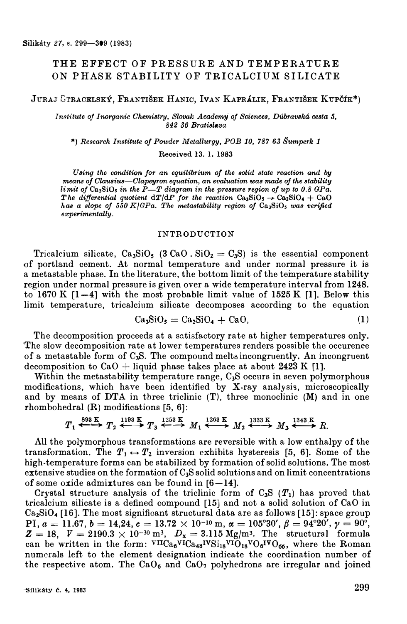# THE EFFECT OF PRESSURE AND TEMPERATURE ON PHASE STABILITY OF TRICALCIUM SILICATE

**JURAJ GrRACELSKÝ, FRANTIŠEK HANIC, IvAN KAPRÁLIK, FRANTIŠEK KuPČÍK\*)** 

*Institute oj Inorganic Chemistry, Slovak Academy oj Sciences, Dúbravská cesta 5, 842 36 BratiBlava* 

**\*)** *Research Institute oj Powder Metallurgy, POB 10, 787 63 Šumperk 1* 

Received 13. I. 1983

Using the condition for an equilibrium of the solid state reaction and by *means of Glausius-Glapeyron equation, an evaluation waB made oj the stability limit of Ca<sub>3</sub>SiO<sub>5</sub> in the P-T diagram in the pressure region of up to 0.8 GPa. The differential quotient*  $dT/dP$  *for the reaction*  $Ca_3SiO_5 \rightarrow Ca_2SiO_4 + CaO$ *h as a Blope oj 550 K/GPa. The metastability region oj Ca*3**Si0**5 *was verified experimentally.* 

### *INTRODUCTION*

Tricalcium silicate,  $Ca_3SiO_5$  (3  $CaO$ .  $SiO_2 = C_3S$ ) is the essential component •Of portland cement. At norma! temperature and under normal pressure it is a metastable phase. In the literature, the bottom limit of the temperature stability region under normal pressure is given over a wide temperature interval from 1248. to 1670 K  $[1-4]$  with the most probable limit value of 1525 K  $[1]$ . Below this limit temperature, tricalcium silicate decomposes according to the equation

$$
Ca_3SiO_5 = Ca_2SiO_4 + CaO,
$$
 (1)

The decomposition proceeds at a satisfactory rate at higher temperatures only. 'The slow decomposition rate at lower temperatures renders possible the occurence of a metastable form of 0**3**S. The compound melts incongruently. An incongruent decomposition to  $CaO + I$ iquid phase takes place at about 2423 K [1].

Within the metastability temperature range, C<sub>3</sub>S occurs in seven polymorphous modifications, which have been identified by X-ray analysis, microscopically and by means of DTA in three triclinic (T), three monoclinic (M) and in one rhombohedral (R) modifications [5, 6]:

$$
T_1 \xleftrightarrow{\overset{\text{893 K}}{\longleftrightarrow}} T_2 \xleftrightarrow{\overset{\text{1193 K}}{\longleftrightarrow}} T_3 \xleftrightarrow{\overset{\text{1253 K}}{\longleftrightarrow}} M_1 \xleftrightarrow{\overset{\text{1263 K}}{\longleftrightarrow}} M_2 \xleftrightarrow{\overset{\text{1333 K}}{\longleftrightarrow}} M_3 \xleftrightarrow{\overset{\text{1343 K}}{\longleftrightarrow}} R.
$$

All the polymorphous transformations are reversible with a low enthalpy of the transformation. The  $T_1 \leftrightarrow T_2$  inversion exhibits hysteresis [5, 6]. Some of the high-temperature forms can be stabilized by formation of solid solutions. The most extensive studies on the formation of C<sub>3</sub>S solid solutions and on limit concentrations of some oxide admixtures can be found in  $[6-14]$ .

Crystal structure analysis of the triclinic form of  $C_3S(T_1)$  has proved that tricalcium silicate is a defined compound [15] and not a solid solution of CaO in Ca**2**Si0**4** [16]. The most significant structural data are as follows [15): space group PI,  $a = 11.67$ ,  $b = 14.24$ ,  $c = 13.72 \times 10^{-10}$  m,  $\alpha = 105^{\circ}30'$ ,  $\beta = 94^{\circ}20'$ ,  $\gamma = 90^{\circ}$ ,  $Z = 18$ ,  $V = 2190.3 \times 10^{-30} \text{ m}^3$ ,  $D_x = 3.115 \text{ Mg/m}^3$ . The structural formula can be written in the form:  $V_{\text{II}}C_{a_{48}}V_{\text{I}}C_{a_{48}}V_{\text{II}}V_{10_{18}}V_{0_{6}}V_{0_{66}}$ , where the Roman numcrals left to the element designation indicate the coordination number of the respective atom. The  $CaO<sub>6</sub>$  and  $CaO<sub>7</sub>$  polyhedrons are irregular and joined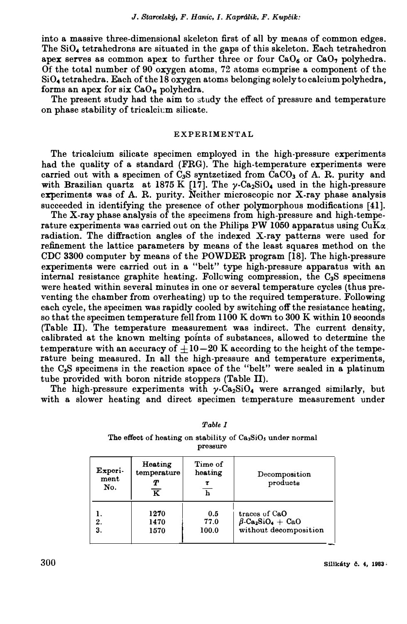#### *J. Searcelský, F. Hanic, I. Kaprálik, F. Kupčík:*

**into a massive three-dimensional skeleton first of all by means of common edges.**  The SiO<sub>4</sub> tetrahedrons are situated in the gaps of this skeleton. Each tetrahedron apex serves as common apex to further three or four CaO<sub>6</sub> or CaO<sub>7</sub> polyhedra. Of the total number of 90 oxygen atoms, 72 atoms comprise a component of the SiO<sub>4</sub> **tetrahedra. Each of the 18 oxygen atoms belonging solely to calcium polyhedra, forms an apex for six**  $CaO_n$  **polyhedra.** 

**The present study had the aim to study the effect of pressure and temperature on phase stability of tricalcit:m silicate.** 

## **EXPERIMENT AL**

**The tricalcium silicate specimen employed in the high-pressure experiments had the quality of a standard (FRG). The high-temperature experiments were carried out with a specimen of C3S syntzetized from CaCO3 of A. R. purity and**  with Brazilian quartz at 1875 K  $[17]$ . The  $\gamma$ -Ca<sub>2</sub>SiO<sub>4</sub> used in the high-pressure experiments was of A. R. purity. Neither microscopic nor X-ray phase analysis **succeeded in identifying the presence of other polymorphous modifications [41].** 

**The X-ray phase analysis of the specimens from high-pressure and high-tempe**rature experiments was carried out on the Philips PW  $1050$  apparatus using  $\text{CuK}\alpha$ . radiation. The diffraction angles of the indexed X-ray patterns were used for refinement the lattice parameters by means of the least squares method on the **CDC** 3300 **computer by means of the POWDER program [18]. The high-pressure**  experiments were carried out in a "belt" type high-pressure apparatus with an **interna! resistance graphite heating. Following compression, the C**3**S specimens**  were heated within several minutes in one or several temperature cycles (thus preventing the chamber from overheating) up to the required temperature. Following **each cycle, the specimen was rapidly cooled by switching off the resistance heating, so that the specimen temperature fell from** 1100 **K down to** 300 **K within** 10 **seconds (Tahle II). The temperature measurement was indirect. The current density, calibrated at the known melting points of substances, allowed to determine the temperature with an accuracy of**  $\pm 10-20$  **K according to the height of the tempe**rature being measured. In all the high-pressure and temperature experiments, **the O**3**S specimens in the reaction space of the "belt" were sealed in a platinum tube provided with boron nitride stoppers (Tahle II).** 

The high-pressure experiments with  $\gamma$ -Ca<sub>2</sub>SiO<sub>4</sub> were arranged similarly, but with a slower heating and direct specimen temperature measurement under

| pressure               |                                                                 |                                                    |                                                                                           |  |  |  |  |
|------------------------|-----------------------------------------------------------------|----------------------------------------------------|-------------------------------------------------------------------------------------------|--|--|--|--|
| Experi-<br>ment<br>No. | Heating<br>temperature<br>Т<br>$\overline{\boldsymbol{\kappa}}$ | Time of<br>heating<br>τ<br>$\overline{\mathbf{h}}$ | Decomposition<br>products                                                                 |  |  |  |  |
| 2.<br>3.               | 1270<br>1470<br>1570                                            | 0.5<br>77.0<br>100.0                               | traces of CaO<br>$\beta$ -Ca <sub>2</sub> SiO <sub>4</sub> + CaO<br>without decomposition |  |  |  |  |

*Table I* 

The effect of heating on stability of Ca<sub>3</sub>SiO<sub>5</sub> under normal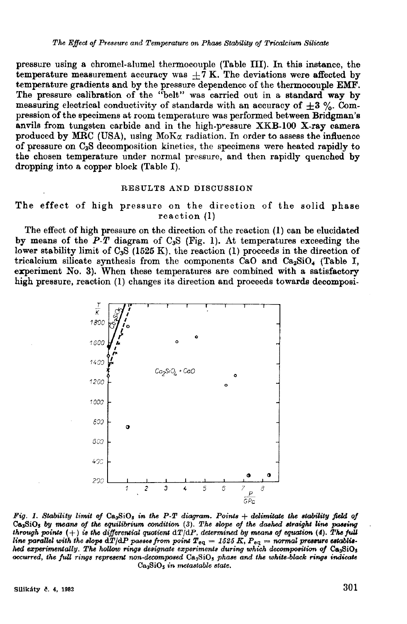pressure using a chromel-alumel thermocouple (Table III). In this instance, the temperature measurement accuracy was  $\pm 7$  K. The deviations were affected by temperature gradients and by the pressure dependence of the thermocouple EMF. The pressure calibration of the "belt" was carried out in a standard way by measuring electrical conductivity of standards with an accuracy of  $\pm 3$  %. Compression of the specimens at room temperature was performed between Bridgman's anvils from tungsten carbide and in the high-pressure XKB-100 X-ray camera produced by MRC (USA), using  $M_0K_\alpha$  radiation. In order to assess the influence of pressure on C<sub>3</sub>S decomposition kinetics, the specimens were heated rapidly to the chosen temperature under normal pressure, and then rapidly quenched by dropping into a copper block (Table I).

### RESULTS AND DISCUSSION

## The effect of high pressure on the direction of the solid phase  $reaction (l)$

The effect of high pressure on the direction of the reaction (1) can be elucidated by means of the  $P$ -T diagram of  $C_3S$  (Fig. 1). At temperatures exceeding the lower stability limit of  $C_3S$  (1525 K), the reaction (1) proceeds in the direction of tricalcium silicate synthesis from the components CaO and Ca<sub>2</sub>SiO<sub>4</sub> (Table I, experiment No. 3). When these temperatures are combined with a satisfactory high pressure, reaction (1) changes its direction and proceeds towards decomposi-



Fig. 1. Stability limit of  $Ca_3SiO_5$  in the P-T diagram. Points  $+$  delimitate the stability field of Ca<sub>3</sub>SiO<sub>3</sub> by means of the equilibrium condition (3). The slope of the dashed straight line passing<br>through points (+) is the differential quotient  $dT/dP$ , determined by means of equation (4). The full<br>line parallel with hed experimentally. The hollow rings designate experiments during which decomposition of Ca<sub>3</sub>SiO<sub>5</sub> occurred, the full rings represent non-decomposed Ca<sub>3</sub>SiO<sub>5</sub> phase and the white-black rings indicate  $Ca<sub>3</sub>SiO<sub>5</sub>$  in metastable state.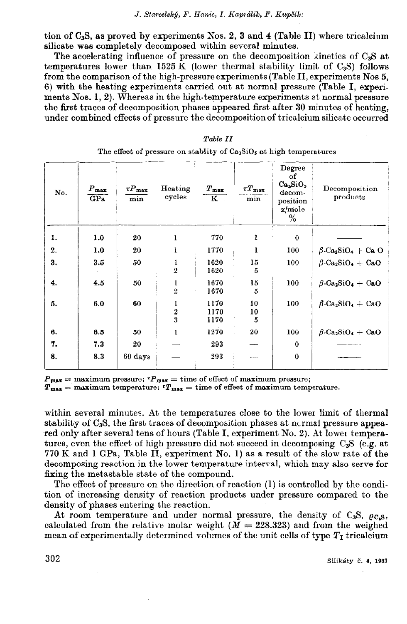tion of C<sub>3</sub>S, as proved by experiments Nos. 2, 3 and 4 (Table II) where tricalcium silicate was completely decomposed within several minutes.

The accelerating influence of pressure on the decomposition kinetics of  $C_3S$  at temperatures lower than 1525 K (lower thermal stability limit of  $C_3S$ ) follows from the comparison of the high-pressure experiments (Table II, experiments Nos 5, 6) with the heating experiments carried out at normal pressure (Table I, experiments Nos. 1, 2). Whereas in the high-temperature experiments at normal pressure the first traces of decomposition phases appeared first after 30 minutes of heating. under combined effects of pressure the decomposition of tricalcium silicate occurred

| No. | $P_{\text{max}}$<br>GPa | $\tau P_{\rm max}$<br>min | Heating<br>cycles   | $T_{\rm max}$<br>$\overline{\mathbf{K}}$ | $\tau T_{\rm max}$<br>min | Degree<br>оf<br>Ca <sub>3</sub> SiO <sub>5</sub><br>decom-<br>position<br>$\alpha$ /mole<br>% | Decomposition<br>products                        |
|-----|-------------------------|---------------------------|---------------------|------------------------------------------|---------------------------|-----------------------------------------------------------------------------------------------|--------------------------------------------------|
| 1.  | 1.0                     | 20                        | 1                   | 770                                      | ı                         | $\bf{0}$                                                                                      |                                                  |
| 2.  | 1.0                     | 20                        | ı                   | 1770                                     | ı                         | 100                                                                                           | $\beta$ -Ca <sub>2</sub> SiO <sub>4</sub> + Ca O |
| 3.  | 3.5                     | 50                        | ı<br>$\overline{2}$ | 1620<br>1620                             | 15<br>5                   | 100                                                                                           | $\beta$ -Ca <sub>2</sub> SiO <sub>4</sub> + CaO  |
| 4.  | 4.5                     | 50                        | 1<br>$\overline{2}$ | 1670<br>1670                             | 15<br>5                   | 100                                                                                           | $\beta$ -Ca <sub>2</sub> SiO <sub>4</sub> + CaO  |
| 5.  | 6.0                     | 60                        | $\frac{1}{2}$       | 1170<br>1170<br>1170                     | 10<br>10<br>5             | 100                                                                                           | $\beta$ -Ca <sub>2</sub> SiO <sub>4</sub> + CaO  |
| 6.  | 6.5                     | 50                        | ı                   | 1270                                     | 20                        | 100                                                                                           | $\beta$ -Ca <sub>2</sub> SiO <sub>4</sub> + CaO  |
| 7.  | 7.3                     | 20                        |                     | 293                                      |                           | $\mathbf 0$                                                                                   |                                                  |
| 8.  | 8.3                     | 60 days                   |                     | 293                                      |                           | $\bf{0}$                                                                                      |                                                  |

| Table II |                                                                        |  |  |  |  |  |
|----------|------------------------------------------------------------------------|--|--|--|--|--|
|          | The effect of pressure on stablity of $Ca_3SiO_5$ at high temperatures |  |  |  |  |  |

 $P_{\text{max}} = \text{maximum pressure};$   $P_{\text{max}} = \text{time of effect of maximum pressure};$ <br> $T_{\text{max}} = \text{maximum temperature};$   $T_{\text{max}} = \text{time of effect of maximum temperature}.$ 

within several minutes. At the temperatures close to the lower limit of thermal stability of  $C_3S$ , the first traces of decomposition phases at normal pressure appeared only after several tens of hours (Table I, experiment No. 2). At lower temperatures, even the effect of high pressure did not succeed in decomposing  $C_3S$  (e.g. at 770 K and 1 GPa, Table II, experiment No. 1) as a result of the slow rate of the decomposing reaction in the lower temperature interval, which may also serve for fixing the metastable state of the compound.

The effect of pressure on the direction of reaction (1) is controlled by the condition of increasing density of reaction products under pressure compared to the density of phases entering the reaction.

At room temperature and under normal pressure, the density of  $C_3S$ ,  $\rho_{C_4S}$ , calculated from the relative molar weight ( $\overline{M}$  = 228.323) and from the weighed mean of experimentally determined volumes of the unit cells of type  $T_I$  tricalcium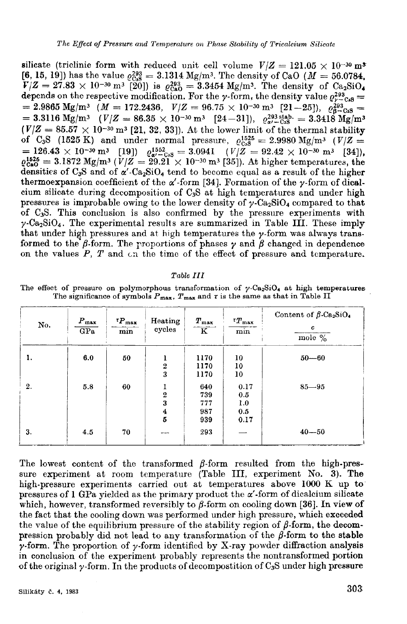silicate (triclinic form with reduced unit cell volume  $V/Z = 121.05 \times 10^{-30} \text{ m}^3$ [6, 15, 19]) has the value  $e_{\text{Cs}}^{293} = 3.1314 \text{ Mg/m}^3$ . The density of CaO ( $M = 56.0784$ ,  $V/Z = 27.83 \times 10^{-30} \text{ m}^3$  [20]) is  $\varrho_{\text{Ca}_0}^{293} = 3.3454 \text{ Mg/m}^3$ . The density of Ca<sub>2</sub>SiO<sub>4</sub> depends on the respective modification. For the *y*-form, the density value  $\varrho_{\gamma-{\rm Ca}_0}^{293} =$ = 2.9865 Mg/m<sup>3</sup> ( $M = 172.2436$ ,  $V/Z = 96.75 \times 10^{-30}$  m<sup>3</sup> [21-25]),  $\rho_{\beta}^{293} =$ <br>= 3.3116 Mg/m<sup>3</sup> ( $V/Z = 86.35 \times 10^{-30}$  m<sup>3</sup> [24-31]),  $\rho_{\alpha}^{293} = 3.3418$  Mg/m<sup>3</sup>  $(V/Z = 85.57 \times 10^{-30} \text{ m}^3$  [21, 32, 33]). At the lower limit of the thermal stability of C<sub>3</sub>S (1525 K) and under normal pressure,  $\varrho_{CS}^{1525} = 2.9980 \text{ Mg/m}^3$  ( $V/Z =$ <br>= 126.43 × 10<sup>-30</sup> m<sup>3</sup> [19])  $\varrho_{\alpha}^{1525} = 3.0941$  ( $V/Z = 92.42$  × 10<sup>-30</sup> m<sup>3</sup> [34]),<br> $\varrho_{\alpha}^{1525} = 3.1872 \text{ Mg/m}^3$  ( $V/Z = 29.21$  × 10 densities of  $C_3S$  and of  $\alpha'$ -Ca<sub>2</sub>SiO<sub>4</sub> tend to become equal as a result of the higher thermoexpansion coefficient of the  $\alpha'$ -form [34]. Formation of the  $\gamma$ -form of dicalcium silicate during decomposition of C<sub>3</sub>S at high temperatures and under high pressures is improbable owing to the lower density of  $\gamma$ -Ca<sub>2</sub>SiO<sub>4</sub> compared to that of C<sub>3</sub>S. This conclusion is also confirmed by the pressure experiments with  $\gamma$ -Ca<sub>2</sub>SiO<sub>4</sub>. The experimental results are summarized in Table III. These imply that under high pressures and at high temperatures the  $\gamma$ -form was always transformed to the  $\beta$ -form. The proportions of phases  $\gamma$  and  $\beta$  changed in dependence on the values  $P$ ,  $T$  and  $c_n$  the time of the effect of pressure and temperature.

#### Table III

The effect of pressure on polymorphous transformation of  $\gamma$ -Ca<sub>2</sub>SiO<sub>4</sub> at high temperatures The significance of symbols  $P_{\text{max}}$ ,  $T_{\text{max}}$  and  $\tau$  is the same as that in Table II

| No. | $\boldsymbol{P}_{\textbf{max}}$<br>GPa | $\tau P_{\rm max}$<br>min | Heating<br>cycles   | $T_{\rm max}$<br>$\overline{\mathbf{K}}$ | $T_{\rm max}$<br>min | Content of $\beta$ -Ca <sub>2</sub> SiO <sub>4</sub><br>c<br>mole $\%$ |
|-----|----------------------------------------|---------------------------|---------------------|------------------------------------------|----------------------|------------------------------------------------------------------------|
| ı.  | 6.0                                    | 50                        | $\overline{2}$<br>3 | 1170<br>1170<br>1170                     | 10<br>10<br>10       | $50 - 60$                                                              |
| 2.  | 5.8                                    | 60                        | $\overline{2}$<br>3 | 640<br>739<br>777                        | 0.17<br>0.5          | $85 - 95$                                                              |
|     |                                        |                           | $\bf{4}$<br>5       | 987<br>939                               | 1.0<br>0.5<br>0.17   |                                                                        |
| 3.  | 4.5                                    | 70                        | ---                 | 293                                      |                      | $40 - 50$                                                              |

The lowest content of the transformed  $\beta$ -form resulted from the high-pressure experiment at room temperature (Table III, experiment No. 3). The high-pressure experiments carried out at temperatures above 1000 K up to pressures of 1 GPa yielded as the primary product the  $\alpha'$ -form of dicalcium silicate which, however, transformed reversibly to  $\beta$ -form on cooling down [36]. In view of the fact that the cooling down was performed under high pressure, which exceeded the value of the equilibrium pressure of the stability region of  $\beta$ -form, the decompression probably did not lead to any transformation of the  $\beta$ -form to the stable  $\gamma$ -form. The proportion of  $\gamma$ -form identified by X-ray powder diffraction analysis in conclusion of the experiment probably represents the nontransformed portion of the original  $\gamma$ -form. In the products of decomposition of  $C_3S$  under high pressure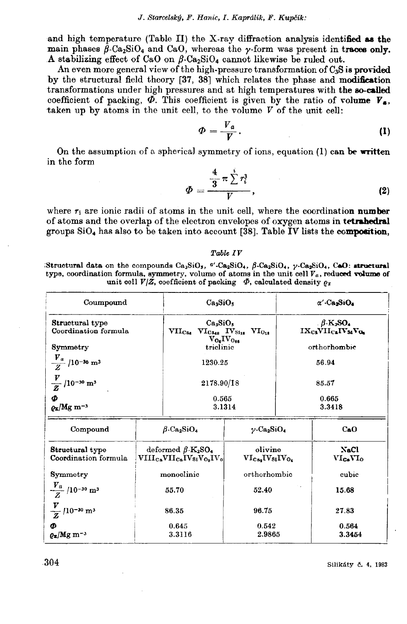and high temperature (Table II) the X-ray diffraction analysis identified as the main phases  $\beta$ -Ca<sub>2</sub>SiO<sub>4</sub> and CaO, whereas the  $\gamma$ -form was present in traces only. A stabilizing effect of CaO on  $\beta$ -Ca<sub>2</sub>SiO<sub>4</sub> cannot likewise be ruled out.

An even more general view of the high-pressure transformation of C.S is provided by the structural field theory [37, 38] which relates the phase and modification transformations under high pressures and at high temperatures with the so-called coefficient of packing,  $\Phi$ . This coefficient is given by the ratio of volume  $V_{\bullet}$ , taken up by atoms in the unit cell, to the volume  $V$  of the unit cell:

$$
\Phi = \frac{V_a}{V}.
$$
 (1)

On the assumption of a spherical symmetry of ions, equation (1) can be written in the form

$$
\Phi=\frac{\frac{4}{3}\pi\sum\limits_{i=1}^{i}r_{i}^{3}}{V},\qquad \qquad (2)
$$

where  $r_i$  are ionic radii of atoms in the unit cell, where the coordination number of atoms and the overlap of the electron envelopes of oxygen atoms in tetrahedral groups  $SiO<sub>4</sub>$  has also to be taken into account [38]. Table IV lists the composition,

#### Table IV

Structural data on the compounds  $Ca_3SiO_5$ ,  $a'.Ca_2SiO_4$ ,  $\beta$ -Ca<sub>2</sub>SiO<sub>4</sub>,  $\gamma$ -Ca<sub>2</sub>SiO<sub>4</sub>, CoO: structural type, coordination formula, symmetry, volume of atoms in the unit cell  $V_a$ , reduced volume of unit cell  $V/Z$ , coefficient of packing  $\Phi$ , calculated density  $\rho_x$ 

| Coumpound                                       | Ca <sub>3</sub> SiO <sub>5</sub>                                                                                     | $\alpha'$ -Ca <sub>2</sub> SiO <sub>4</sub>             |
|-------------------------------------------------|----------------------------------------------------------------------------------------------------------------------|---------------------------------------------------------|
| Structural type                                 | Ca <sub>3</sub> SiO <sub>5</sub>                                                                                     | $\beta$ -K <sub>2</sub> SO <sub>4</sub>                 |
| Coordination formula                            | $\rm VII_{\rm Ca_6}$ $\rm VI_{\rm Ca_{48}}$ $\rm IV_{\rm Si_{18}}$ $\rm VI_{\rm O_{18}}$<br>$V_{O_6}$ I $V_{O_{66}}$ | IX <sub>Ca</sub> VII <sub>Ca</sub> IV <sub>S4</sub> Vo. |
| Symmetry                                        | triclinic                                                                                                            | orthorhombic                                            |
| $\frac{V_a}{Z}$ /10-30 m <sup>3</sup>           | 1230.25                                                                                                              | 56.94                                                   |
| $\frac{V}{Z}$ /10 <sup>-30</sup> m <sup>3</sup> | 2178.90/18                                                                                                           | 85.57                                                   |
| Φ                                               | 0.565                                                                                                                | 0.665                                                   |
| $\rho_{\rm x}/\rm Mg~m^{-3}$                    | 3.1314                                                                                                               | 3.3418                                                  |

| Compound                                          | $\beta$ -Ca <sub>2</sub> SiO <sub>4</sub>                                                           | $\gamma$ -Ca <sub>2</sub> SiO <sub>4</sub> | CaO                             |
|---------------------------------------------------|-----------------------------------------------------------------------------------------------------|--------------------------------------------|---------------------------------|
| Structural type<br>Coordination formula           | deformed $\beta$ -K <sub>2</sub> SO <sub>4</sub><br>$\rm VIII_{Ca} VII_{Ca} IV_{Si} V_{O_2} IV_{O}$ | olivine<br>$VI_{Ca_2}IV_{Si}IV_{O_4}$      | NaCl<br>$VI_{\rm Ca}Y_{\rm 1O}$ |
| Symmetry                                          | monoclinic                                                                                          | orthorhombic                               | cubic                           |
| $\frac{V_a}{Z}$ /10 <sup>-30</sup> m <sup>3</sup> | 55.70                                                                                               | 52.40                                      | 15.68                           |
| $\frac{V}{Z}$ /10 <sup>-30</sup> m <sup>3</sup>   | 86.35                                                                                               | 96.75                                      | 27.83                           |
| Ф<br>$\rho_{\rm x}/\text{Mg}~\text{m}^{-3}$       | 0.645<br>3.3116                                                                                     | 0.542<br>2.9865                            | 0.564<br>3.3454                 |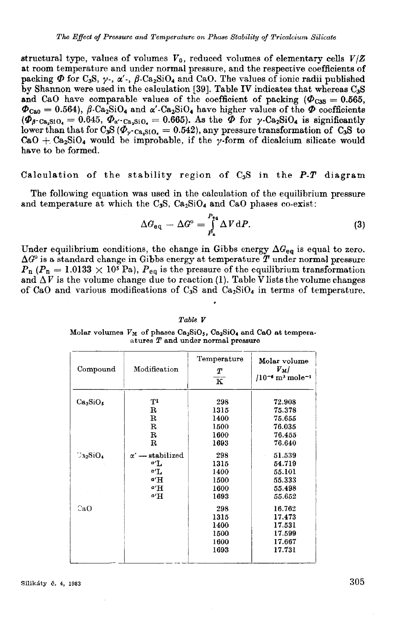structural type, values of volumes  $V_0$ , reduced volumes of elementary cells  $V/Z$ at room temperature and under normal pressure, and the respective coefficients of packing  $\Phi$  for C<sub>3</sub>S,  $\gamma$ -,  $\alpha'$ -,  $\beta$ -Ca<sub>2</sub>SiO<sub>4</sub> and CaO. The values of ionic radii published by Shannon were used in the calculation [39]. Table IV indicates that whereas C<sub>3</sub>S and CaO have comparable values of the coefficient of packing  $(\Phi_{CSS} = 0.565,$  $\Phi_{\text{CaO}} = 0.564$ ,  $\beta$ -Ca<sub>2</sub>SiO<sub>4</sub> and  $\alpha'$ -Ca<sub>2</sub>SiO<sub>4</sub> have higher values of the  $\Phi$  coefficients  $(\vec{\Phi}_{\beta}\cdot_{\text{Ca-SiO}}) = 0.645, \vec{\Phi}_{\alpha}\cdot_{\text{Ca-SiO}} = 0.665$ . As the  $\vec{\Phi}$  for  $\gamma$ -Ca<sub>2</sub>SiO<sub>4</sub> is significantly lower than that for  $C_3S(\Phi_{v}$ -ca.sio, = 0.542), any pressure transformation of  $C_3S$  to CaO + Ca<sub>2</sub>SiO<sub>4</sub> would be improbable, if the y-form of dicalcium silicate would have to be formed.

### Calculation of the stability region of  $C_3S$  in the P-T diagram

The following equation was used in the calculation of the equilibrium pressure and temperature at which the C<sub>3</sub>S.  $Ca<sub>2</sub>SiO<sub>4</sub>$  and C<sub>3</sub>O phases co-exist:

$$
\Delta G_{\text{eq}} - \Delta G^{\circ} = \int_{P_{\text{a}}}^{P_{\text{eq}}} \Delta V \, \text{d}P. \tag{3}
$$

Under equilibrium conditions, the change in Gibbs energy  $\Delta G_{eq}$  is equal to zero.  $\Delta G^{\circ}$  is a standard change in Gibbs energy at temperature  $T$  under normal pressure  $P_{\rm n}$  ( $P_{\rm n} = 1.0133 \times 10^5$  Pa),  $P_{\rm eq}$  is the pressure of the equilibrium transformation and  $\Delta V$  is the volume change due to reaction (1). Table V lists the volume changes of CaO and various modifications of  $C_3S$  and  $Ca_2SiO<sub>4</sub>$  in terms of temperature.

| Compound                         | Modification                                        | Temperature<br>Т<br>$\overline{\mathbf{K}}$ | Molar volume<br>$V_M/$<br>$/10^{-6}$ m <sup>3</sup> mole <sup>-1</sup> |
|----------------------------------|-----------------------------------------------------|---------------------------------------------|------------------------------------------------------------------------|
| Ca <sub>3</sub> SiO <sub>5</sub> | ТI<br>$\mathbf R$                                   | 298<br>1315                                 | 72.908<br>75.378                                                       |
|                                  | $_{\rm R}$<br>$\mathbf R$                           | 1400<br>1500                                | 75.655<br>76.035                                                       |
|                                  | $\mathbf R$                                         | 1600                                        | 76.455                                                                 |
| $\mathbb{C}_{32}\mathrm{SiO}_4$  | $\mathbf R$<br>$\alpha' \longrightarrow$ stabilized | 1693<br>298                                 | 76.640<br>51.539                                                       |
|                                  | a <sub>L</sub>                                      | 1315                                        | 54.719                                                                 |
|                                  | $a^{\prime}$ L<br>a' H                              | 1400<br>1500                                | 55.101<br>55.333                                                       |
|                                  | a'H<br>$a'$ H                                       | 1600<br>1693                                | 55.498<br>55.652                                                       |
| CaO                              |                                                     | 298                                         | 16.762                                                                 |
|                                  |                                                     | 1315<br>1400                                | 17.473<br>17.531                                                       |
|                                  |                                                     | 1500                                        | 17.599                                                                 |
|                                  |                                                     | 1600<br>1693                                | 17.667<br>17.731                                                       |

Table V

Molar volumes  $V_M$  of phases  $Ca_3SiO_5$ ,  $Ca_2SiO_4$  and  $CaO$  at temperaatures  $T$  and under normal pressure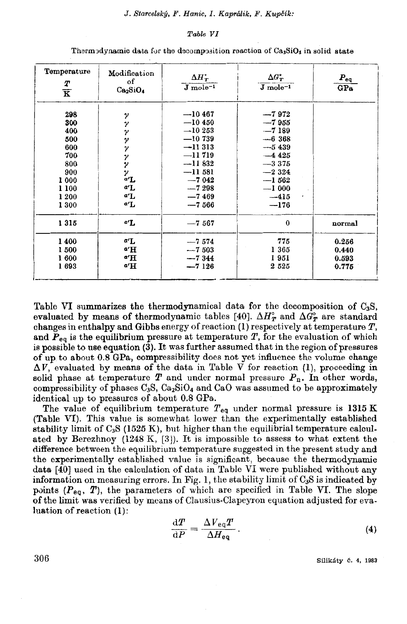### Table VI

| Temperature<br>Т<br>$\overline{\mathbf{K}}$                                             | Modification<br>of<br>Ca <sub>2</sub> SiO <sub>4</sub> | $\Delta H_{\scriptscriptstyle T}^{\scriptscriptstyle\bullet}$<br>$J_{\text{mole}^{-1}}$                                                  | $\Delta G_{\scriptscriptstyle T}^{\scriptscriptstyle\bullet}$<br>$J$ mole <sup><math>-1</math></sup>                                 | $\boldsymbol{P}_{\rm eq}$<br>GPa |
|-----------------------------------------------------------------------------------------|--------------------------------------------------------|------------------------------------------------------------------------------------------------------------------------------------------|--------------------------------------------------------------------------------------------------------------------------------------|----------------------------------|
| 298<br>300<br>400<br>500<br>600<br>700<br>800<br>900<br>1 000<br>1 100<br>1 200<br>1300 | γ<br>ソソソ<br>ンソン<br>a'L<br>a'L<br>α'L<br>a'L            | $-10467$<br>$-10450$<br>$-10253$<br>$-10739$<br>$-11313$<br>$-11719$<br>$-11832$<br>$-11581$<br>$-7042$<br>$-7298$<br>$-7469$<br>$-7566$ | $-7972$<br>$-7955$<br>$-7189$<br>$-6,368$<br>$-5439$<br>$-4425$<br>$-3375$<br>$-2324$<br>$-1562$<br>$-1000$<br>$-415$<br>,<br>$-176$ |                                  |
| 1315                                                                                    | a'L                                                    | $-7567$                                                                                                                                  | $\bf{0}$                                                                                                                             | normal                           |
| 1400<br>1500<br>1600<br>1693                                                            | α'L<br>a'H<br>a'H<br>a'H                               | $-7,574$<br>$-7503$<br>$-7344$<br>$-7126$                                                                                                | 775<br>1 365<br>1951<br>2525                                                                                                         | 0.256<br>0.440<br>0.593<br>0.775 |

Thermodynamic data for the decomposition reaction of Ca<sub>3</sub>SiO<sub>5</sub> in solid state

Table VI summarizes the thermodynamical data for the decomposition of  $C_3S$ . evaluated by means of thermodynamic tables [40].  $\Delta H_{\text{R}}^{\circ}$  and  $\Delta G_{\text{R}}^{\circ}$  are standard changes in enthalpy and Gibbs energy of reaction  $(1)$  respectively at temperature  $T$ , and  $P_{eq}$  is the equilibrium pressure at temperature T, for the evaluation of which is possible to use equation (3). It was further assumed that in the region of pressures of up to about 0.8 GPa, compressibility does not yet influence the volume change  $\Delta V$ , evaluated by means of the data in Table V for reaction (1), proceeding in solid phase at temperature  $T$  and under normal pressure  $P_n$ . In other words, compressibility of phases  $C_3S$ ,  $C_{22}SiO_4$  and  $CaO$  was assumed to be approximately identical up to pressures of about 0.8 GPa.

The value of equilibrium temperature  $T_{eq}$  under normal pressure is 1315 K (Table VI). This value is somewhat lower than the experimentally established stability limit of  $C_3S$  (1525 K), but higher than the equilibrial temperature calculated by Berezhnoy  $(1248 \text{ K}, [3])$ . It is impossible to assess to what extent the difference between the equilibrium temperature suggested in the present study and the experimentally established value is significant, because the thermodynamic data [40] used in the calculation of data in Table VI were published without any information on measuring errors. In Fig. 1, the stability limit of  $C_3S$  is indicated by points ( $P_{eq}$ , T), the parameters of which are specified in Table VI. The slope of the limit was verified by means of Clausius-Clapeyron equation adjusted for evaluation of reaction  $(1)$ :

$$
\frac{\mathrm{d}T}{\mathrm{d}P} = \frac{\Delta V_{\text{eq}}T}{\Delta H_{\text{eq}}}.
$$
\n(4)

Silikáty č. 4, 1983

306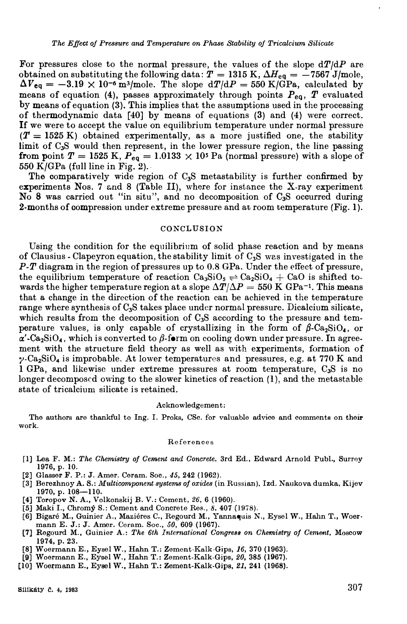For pressures close to the normal pressure, the values of the slope *dT/dP* are obtained on substituting the following data:  $T = 1315$  K,  $\Delta H_{eq} = -7567$  J/mole,  $\Delta V_{eq} = -3.19 \times 10^{-6} \text{ m}^3/\text{mole}$ . The slope  $d/dP = 550 \text{ K/GPa}$ , calculated by means of equation (4), passes approximately through points  $P_{eq}$ ,  $T$  evaluated by means of equation (3). This implies that the assumptions used in the processing of thermodynamic data [40] by means of equations (3) and (4) were correct. If we were to accept the value on equilibrium temperature under normal pressure  $(T = 1525 \text{ K})$  obtained experimentally, as a more justified one, the stability limit of C<sub>3</sub>S would then represent, in the lower pressure region, the line passing **from point**  $T = 1525$  **K,**  $P_{eq} = 1.0133 \times 10^5$  **Pa (normal pressure) with a slope of** 550 K/GPa (full line in Fig. 2).

The comparatively wide region of C**3**S metastability is further confirmed by experiments Nos. 7 and 8 (Table II), where for instance the X-ray experiment No 8 was carried out "in situ", and no decomposition of C**3**S occurred during 2-months of compression under extreme pressure and at room temperature (Fig. 1).

### **CONCLUSION**

Using the condition for the equilibrium of solid phase reaction and by means of Clausius. Clapeyron equation, the stability limit of C**3**S was investigated in the *P-T* diagram in the region of pressures up to **0.8** GPa. Under the effect of pressure, the equilibrium temperature of reaction  $Ca_3SiO_5 \rightleftharpoons Ca_2SiO_4 + CaO$  is shifted towards the higher temperature region at a slope  $\Delta T/\Delta P = 550 \text{ K} \text{ GPa}^{-1}$ . This means that a change in the direction of the reaction can be achieved in the temperature range where synthesis of O**3**S takes place undcr normal pressure. Dicalcium silicate, which results from the decomposition of C<sub>3</sub>S according to the pressure and temperature values, is only capable of crystallizing in the form of  $\beta$ -Ca<sub>2</sub>SiO<sub>4</sub>, or  $\alpha'$ -Ca<sub>2</sub>SiO<sub>4</sub>, which is converted to  $\beta$ -form on cooling down under pressure. In agreement with the structure field theory as well as with experiments, formation of y-Ca**2**SiO**4** is improbable. At lower temperatures and pressures, e.g. at **770** K and 1 GPa, and likewise under extreme pressures at room temperature, C**3**S is no longer decomposcd owing to the slower kinetics of reaction **(1),** and the metastable state of tricalcium silicate is retained.

#### **Acknow ledgemen t:**

**The authors are thankful to Ing. I. Proks, CSc. for valuable advice and comments on their work.** 

#### **References**

- **[l] Lea F. M.:** *The Ghemistry oj Cement and Goncrete,* **3rd Ed., Edward Arnold Publ., Surrey 1976, p. 10.**
- **(2) Glasser F. P.: J. Amer. Ceram. Soc.,** *45,* **242 (1962).**
- **[3] Berezhnoy A. S.:** *Multicomponent systems oj oxides* **(in Russian), Izd. Naukova dumka, Kijev**  1970, p. 108-110.
- **(4) Toropov N. A., Volkonskij B. V.: Cement,** *26,* **6 (1960).**
- [5] Maki I., Chromý S.: Cement and Concrete Res., 8, 407 (1978).
- **[6] Bigaré M., Guinier A., Maziéres C., Regourd M., Yannaquis N., Eysel W., Hahn T., Woermann E. J.: J. Amer. Ceram. Soc.,** *50,* **609 (1967).**
- [7] Regourd M., Guinier A.: The 6th International Congress on Chemistry of Cement, Moscow **1974, p. 23.**
- **[8) Woermann E., Eysel W., Hahn T.: Zement-Kalk-Gips,** *16,* **370 (1963).**
- **(9) Woermann E., Eysel W., Hahn T.: Zement-Kalk-Gips,** *20,* **385 (1967).**
- **[10) Woei;mann E., Eysel W., Hahn T.: Zement-Kalk-Gips,** *21,* **241 (1968).**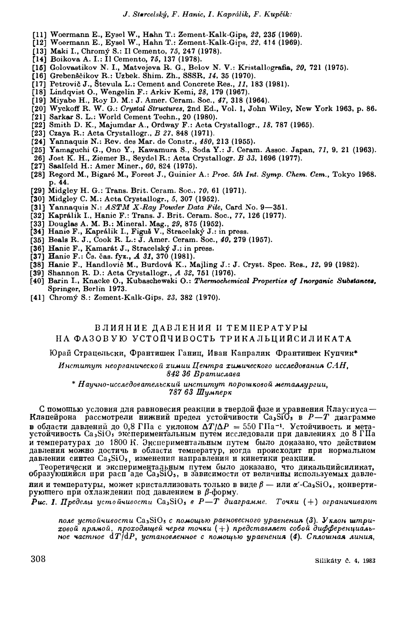- **[ll] Woermann E., Eysel W., Hahn T.: Zement-Kalk-Gips,** *22,* **235 (1969).**
- **[12] Woermann E., Eysel W., Hahn T.: Zement-Kalk-Gips,** *22,* **414 (1969).**
- **(13] Me.ki I., Chromý S.: II Cemento,** *75,* **247 (1978).**
- **[14] Boikova A. I.: II Cemento,** *75,* **137 (1978).**
- **[ló] Golove.stikov** *N.* **I., Matvejeva** R. **G., Belov** *N.* **V.: Kristallogre.fia,** *20,* **721 (1975).**
- **[16] Grebenščikov R.: Uzbek. Shim. Zh., SSSR,** *14,* **35 (1970).**
- **[17] Petrovič J., Stevula L.: Cement and Concrete Res.,** *11,* **183 (1981).**
- **[18] Lindqvist O., Wengelin F.: Arkiv Kemi,** *28,* **179 (1967).**
- **[19] Miyabe H., Roy D. M.: J. Amer. Ceram. Soc.,** *47,* **318 (1964).**
- **[20] Wyckoff R. W. G.: Grystal** *Structures,* **2nd Ed., Vol. l, John Wiley, New York 1963, p. 86.**
- **[21] Sarkar S. L.: World Cement Techn., 20 (1980).**
- **(22] Smith D.** K., **Majumdar A., Ordway F.: Acta Crystallogr.,** *18,* **787 (1965).**
- **[23] Cze.ya R.: Acta Crystallogr.,** *B 27,* **848 (1971).**
- **[24] Yannaquis N.: Rev. des Mar. de Constr.,** *480,* **213 (1955),**
- **[25] Yamaguchi G., Ono Y., Kawamura S., Soda Y.: .J. Ceram. Assoc . .Japan,** *71,* **9, 21 (1963).**
- **26] .Jost** K. **H., Ziemer B., Seydel R.: Acta Crystallogr.** *B 33,* **1696 (1977).**
- **[27) Sa.alfeld H.: Amer Miner.,** *60,* **824 (1975).**
- [28] Regord M., Bigaré M., Forest J., Guinier A.: Proc. 5th Int. Symp. Chem. Cem., Tokyo 1968. **p. 44.**
- **[29) Midgley H. G.: Trans. Brit. Ceram. Soc.,** *70,* **61 (1971).**
- **[30) Midgley C. M.: Acta Crystallogr.,** *5,* **307 (1952).**
- **[31) Yannaquis N.:** *ASTM X-Ray Powder Data File,* **Card No. 9-361.**
- **[32] Kaprálik I., Hanic F.: Trans. J. Brit. Ceram. Soc., 77, 126 (1977).**
- **[33) Douglas A. M. B.: Mineral. Mag., 29, 875 (1952).**
- **(34) Hanio F., Kaprálik I., Figuš V., Stracelský .J.: in press.**
- **[36] Beals R. .J., Cook R. L.:** J. **Amer. Ceram. Soc.,** *40,* **279 (1957).**
- **[36) Hanic F., Kamarát J., Stracelský J.: in press,**
- **[37] Banio F.: Ůs. čas. fyz., A 31, 370 (1981).**
- **[38] Hanic F., Handlovič M., Burdová** K., **Majling J.: J. Cryst. Spec. Res .. ,** *12,* **99 {1982).**
- **[39) Shannon R. D.: Acta Crystallogr.,** *A 32,* **761 (1976).**
- **[40) Barin** I., **Knacke O., Kubascheweki O.:** *Thermochemical Propertiea oj Inorganic* **Sub.ttaneu, Springer, Berlín 1973.**
- **[41) Chromý S.: Zement-Ke.lk-Gips,** *23,* **382 (1970).**

## **ВЛИЯНИЕ ДАВЛЕНИЯ И ТЕМПЕРАТУРЫ** НА ФАЗОВУЮ УСТОЙЧИВОСТЬ ТРИКАЛЬЦИЙСИЛИКАТ**А**

Юрай Страцельски, Франтишек Ганиц, Иван Капралик Франтишек Купчик\*

**Институт неорганической химии Центра химического исследования САН,** 842 36 **B**pamucnaea

 $*$  **H** аучно-исследовательский институт порошковой металлургии, *787 63* **my.ttnep»** 

С помощью условия для равновесия реакции в твердой фазе и уравнения Клаусиуса — **Rлапейрона** рассмотрели нижний предел устойчивости Ca<sub>3</sub>SiO<sub>5</sub> в P-T диаграмме **B** области давлений до 0,8 ГНа с уклоном  $\Delta T/\Delta P = 550$  ГНа<sup>-1</sup>. Устойчивость и мета**ycToŘqHBOCTL Ca3SiO, :mcuepHMeHT8JibHblM rryTeM HCCJie)l0B8JIH rrpH )l8BJieHHHX /l0 8 rrra и температурах** до 1800 H. Экспериментальным путем было доказано, что действием **)l8BJieHHII M0lflHO /:IOCTHqb B o6JiaCTl1 TeMrrepaTyp, ROrµ,a rrpoHCX0AHT rrpn HOpMaJibHOM**   $\mu$ давлении синтез Ca<sub>3</sub>SiO<sub>5</sub>, изменения направления и кинетики реакции.

**Teopeni:qecRII H :mcrrepHMeHT8JlbHb!M rryTeM Ób!JIO A0Ka3aHO, qTo /:IHR8JibD;HllCHJIHR8T, образующийся при расп** аде Ca<sub>3</sub>SiO<sub>5</sub>, в зависимости от величины используемых давле-**BHA** *H* TeMnepaTypы, может кристаллизовать только в виде  $\beta$  — или  $\alpha'$ -Ca<sub>2</sub>SiO<sub>4</sub>, конверти**pyющего при охлаждении под давлением в β-форму.** 

 $P$ ис. 1. Пределы устойчивости Ca<sub>3</sub>SiO, в  $P-T$  диаграмме. Точки  $(+)$  ограничивают

поле устойчивости Ca<sub>3</sub>SiO<sub>5</sub> с помощью равновесного уравнения (3). Уклон штри- $\bm{x}$ овой прямой, проходящей через точки  $(+)$  представляет собой дифференциаль- $H$ ное частное dT/dP, установленное с помощью уравнения (4). Сплошная линия,